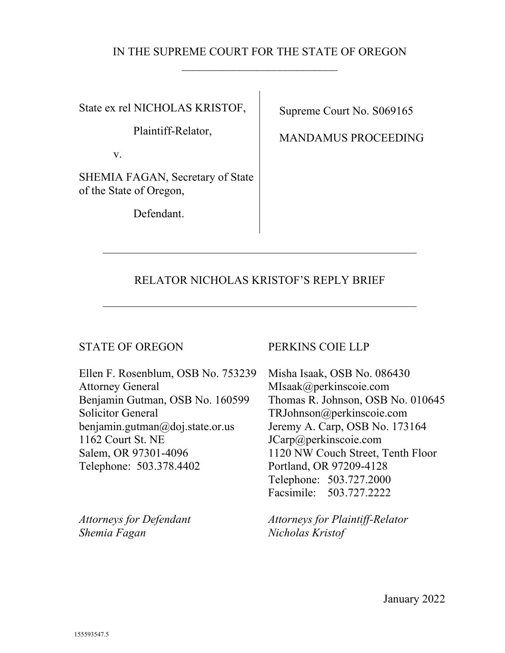## IN THE SUPREME COURT FOR THE STATE OF OREGON  $\overline{\phantom{a}}$

State ex rel NICHOLAS KRISTOF,

Plaintiff-Relator,

v.

SHEMIA FAGAN, Secretary of State of the State of Oregon,

Defendant.

Supreme Court No. S069165

MANDAMUS PROCEEDING

# RELATOR NICHOLAS KRISTOF'S REPLY BRIEF

## STATE OF OREGON PERKINS COIE LLP

Ellen F. Rosenblum, OSB No. 753239 Attorney General Benjamin Gutman, OSB No. 160599 Solicitor General benjamin.gutman@doj.state.or.us 1162 Court St. NE Salem, OR 97301-4096 Telephone: 503.378.4402

*Attorneys for Defendant Shemia Fagan* 

Misha Isaak, OSB No. 086430 MIsaak@perkinscoie.com Thomas R. Johnson, OSB No. 010645 TRJohnson@perkinscoie.com Jeremy A. Carp, OSB No. 173164 JCarp@perkinscoie.com 1120 NW Couch Street, Tenth Floor Portland, OR 97209-4128 Telephone: 503.727.2000 Facsimile: 503.727.2222

*Attorneys for Plaintiff-Relator Nicholas Kristof*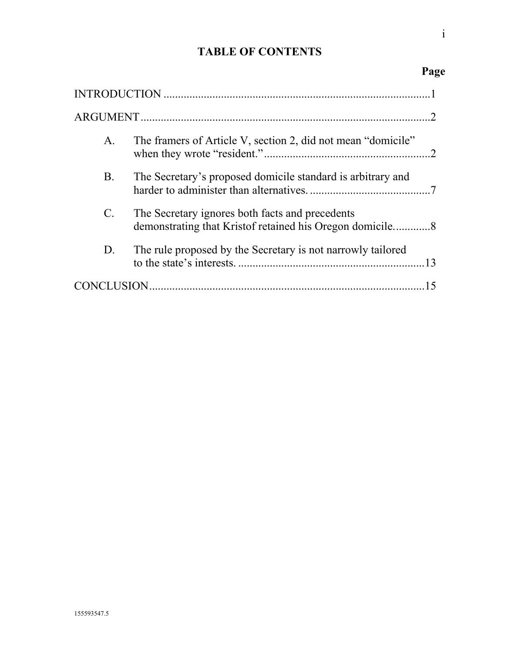# **TABLE OF CONTENTS**

|                | $\mathcal{D}$                                                |
|----------------|--------------------------------------------------------------|
| A.             | The framers of Article V, section 2, did not mean "domicile" |
| B.             | The Secretary's proposed domicile standard is arbitrary and  |
| $\mathbf{C}$ . | The Secretary ignores both facts and precedents              |
| D.             | The rule proposed by the Secretary is not narrowly tailored  |
|                |                                                              |

i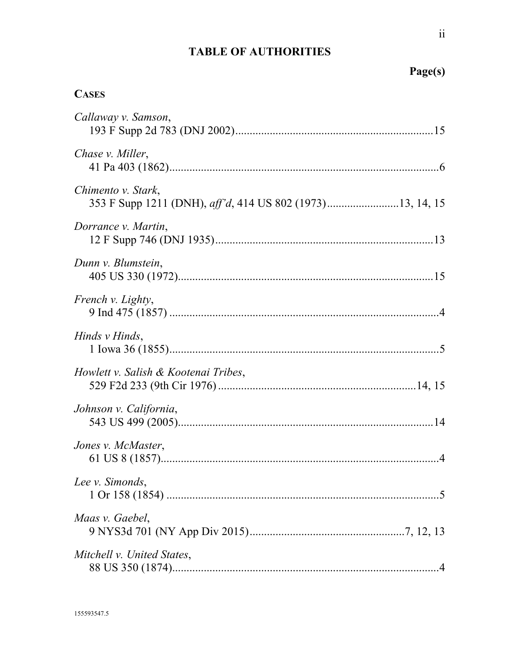# **TABLE OF AUTHORITIES**

# Page(s)

# **CASES**

| Callaway v. Samson,                                                             |  |
|---------------------------------------------------------------------------------|--|
| Chase v. Miller,                                                                |  |
| Chimento v. Stark,<br>353 F Supp 1211 (DNH), aff'd, 414 US 802 (1973)13, 14, 15 |  |
| Dorrance v. Martin,                                                             |  |
| Dunn v. Blumstein,                                                              |  |
| French v. Lighty,                                                               |  |
| Hinds v Hinds,                                                                  |  |
| Howlett v. Salish & Kootenai Tribes,                                            |  |
| Johnson v. California,                                                          |  |
| Jones v. McMaster,                                                              |  |
| Lee v. Simonds,                                                                 |  |
| Maas v. Gaebel,                                                                 |  |
| Mitchell v. United States,                                                      |  |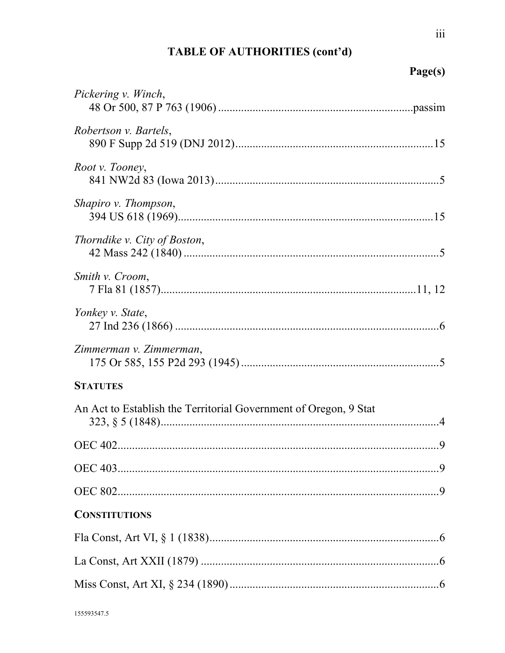# TABLE OF AUTHORITIES (cont'd)

# Page(s)

| Pickering v. Winch,                                              |  |
|------------------------------------------------------------------|--|
| Robertson v. Bartels,                                            |  |
| Root v. Tooney,                                                  |  |
| Shapiro v. Thompson,                                             |  |
| Thorndike v. City of Boston,                                     |  |
| Smith v. Croom,                                                  |  |
| Yonkey v. State,                                                 |  |
| Zimmerman v. Zimmerman,                                          |  |
| <b>STATUTES</b>                                                  |  |
| An Act to Establish the Territorial Government of Oregon, 9 Stat |  |
|                                                                  |  |
|                                                                  |  |
|                                                                  |  |
| <b>CONSTITUTIONS</b>                                             |  |
|                                                                  |  |
|                                                                  |  |
|                                                                  |  |
|                                                                  |  |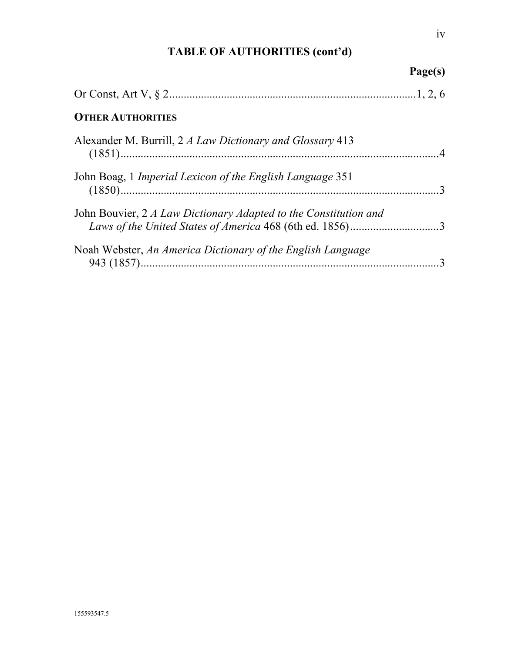# **TABLE OF AUTHORITIES (cont'd)**

|                                                                                                                              | Page(s) |
|------------------------------------------------------------------------------------------------------------------------------|---------|
|                                                                                                                              |         |
| <b>OTHER AUTHORITIES</b>                                                                                                     |         |
| Alexander M. Burrill, 2 A Law Dictionary and Glossary 413                                                                    |         |
| John Boag, 1 <i>Imperial Lexicon of the English Language</i> 351                                                             |         |
| John Bouvier, 2 A Law Dictionary Adapted to the Constitution and<br>Laws of the United States of America 468 (6th ed. 1856)3 |         |
| Noah Webster, An America Dictionary of the English Language                                                                  |         |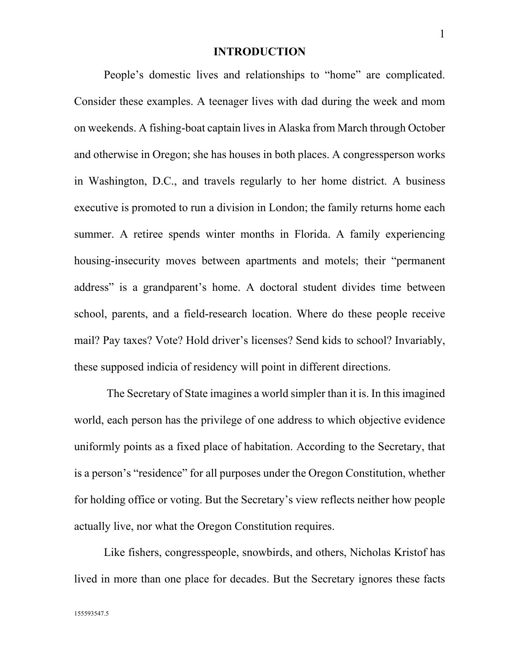### **INTRODUCTION**

<span id="page-5-0"></span>People's domestic lives and relationships to "home" are complicated. Consider these examples. A teenager lives with dad during the week and mom on weekends. A fishing-boat captain lives in Alaska from March through October and otherwise in Oregon; she has houses in both places. A congressperson works in Washington, D.C., and travels regularly to her home district. A business executive is promoted to run a division in London; the family returns home each summer. A retiree spends winter months in Florida. A family experiencing housing-insecurity moves between apartments and motels; their "permanent address" is a grandparent's home. A doctoral student divides time between school, parents, and a field-research location. Where do these people receive mail? Pay taxes? Vote? Hold driver's licenses? Send kids to school? Invariably, these supposed indicia of residency will point in different directions.

<span id="page-5-1"></span>The Secretary of State imagines a world simpler than it is. In this imagined world, each person has the privilege of one address to which objective evidence uniformly points as a fixed place of habitation. According to the Secretary, that is a person's "residence" for all purposes under the Oregon Constitution, whether for holding office or voting. But the Secretary's view reflects neither how people actually live, nor what the Oregon Constitution requires.

Like fishers, congresspeople, snowbirds, and others, Nicholas Kristof has lived in more than one place for decades. But the Secretary ignores these facts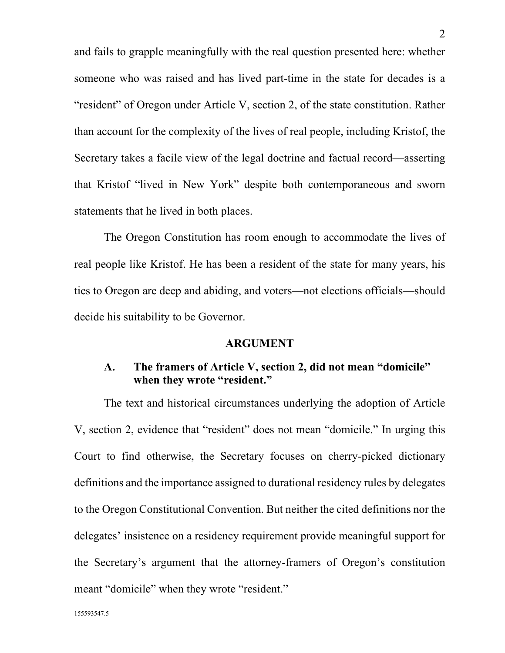and fails to grapple meaningfully with the real question presented here: whether someone who was raised and has lived part-time in the state for decades is a "resident" of Oregon under Article V, section 2, of the state constitution. Rather than account for the complexity of the lives of real people, including Kristof, the Secretary takes a facile view of the legal doctrine and factual record—asserting that Kristof "lived in New York" despite both contemporaneous and sworn statements that he lived in both places.

<span id="page-6-2"></span>The Oregon Constitution has room enough to accommodate the lives of real people like Kristof. He has been a resident of the state for many years, his ties to Oregon are deep and abiding, and voters—not elections officials—should decide his suitability to be Governor.

### **ARGUMENT**

## <span id="page-6-1"></span><span id="page-6-0"></span>**A. The framers of Article V, section 2, did not mean "domicile" when they wrote "resident."**

The text and historical circumstances underlying the adoption of Article V, section 2, evidence that "resident" does not mean "domicile." In urging this Court to find otherwise, the Secretary focuses on cherry-picked dictionary definitions and the importance assigned to durational residency rules by delegates to the Oregon Constitutional Convention. But neither the cited definitions nor the delegates' insistence on a residency requirement provide meaningful support for the Secretary's argument that the attorney-framers of Oregon's constitution meant "domicile" when they wrote "resident."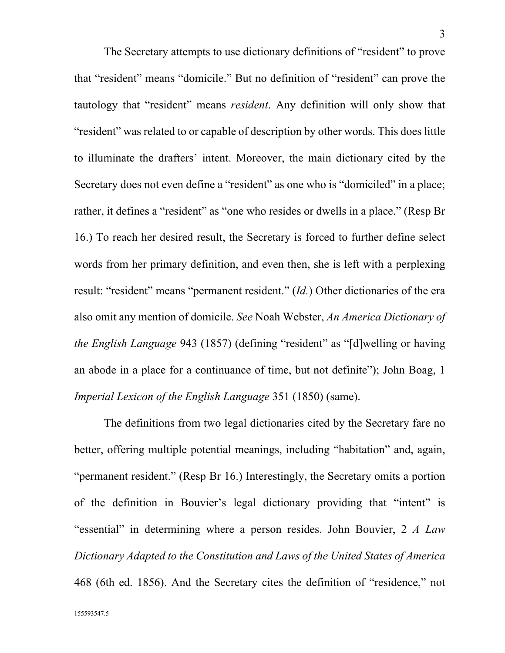The Secretary attempts to use dictionary definitions of "resident" to prove that "resident" means "domicile." But no definition of "resident" can prove the tautology that "resident" means *resident*. Any definition will only show that "resident" was related to or capable of description by other words. This does little to illuminate the drafters' intent. Moreover, the main dictionary cited by the Secretary does not even define a "resident" as one who is "domiciled" in a place; rather, it defines a "resident" as "one who resides or dwells in a place." (Resp Br 16.) To reach her desired result, the Secretary is forced to further define select words from her primary definition, and even then, she is left with a perplexing result: "resident" means "permanent resident." (*Id.*) Other dictionaries of the era also omit any mention of domicile. *See* Noah Webster, *An America Dictionary of the English Language* 943 (1857) (defining "resident" as "[d]welling or having an abode in a place for a continuance of time, but not definite"); John Boag, 1 *Imperial Lexicon of the English Language* 351 (1850) (same).

<span id="page-7-2"></span><span id="page-7-1"></span><span id="page-7-0"></span>The definitions from two legal dictionaries cited by the Secretary fare no better, offering multiple potential meanings, including "habitation" and, again, "permanent resident." (Resp Br 16.) Interestingly, the Secretary omits a portion of the definition in Bouvier's legal dictionary providing that "intent" is "essential" in determining where a person resides. John Bouvier, 2 *A Law Dictionary Adapted to the Constitution and Laws of the United States of America* 468 (6th ed. 1856). And the Secretary cites the definition of "residence," not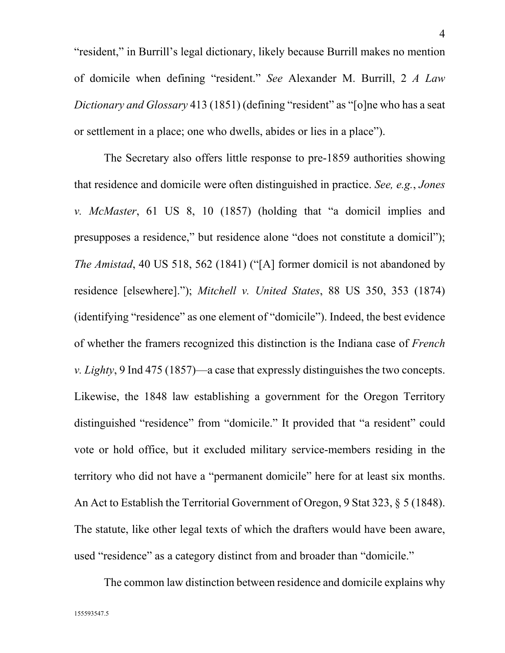<span id="page-8-4"></span>"resident," in Burrill's legal dictionary, likely because Burrill makes no mention of domicile when defining "resident." *See* Alexander M. Burrill, 2 *A Law Dictionary and Glossary* 413 (1851) (defining "resident" as "[o]ne who has a seat or settlement in a place; one who dwells, abides or lies in a place").

<span id="page-8-2"></span><span id="page-8-1"></span><span id="page-8-0"></span>The Secretary also offers little response to pre-1859 authorities showing that residence and domicile were often distinguished in practice. *See, e.g.*, *Jones v. McMaster*, 61 US 8, 10 (1857) (holding that "a domicil implies and presupposes a residence," but residence alone "does not constitute a domicil"); *The Amistad*, 40 US 518, 562 (1841) ("[A] former domicil is not abandoned by residence [elsewhere]."); *Mitchell v. United States*, 88 US 350, 353 (1874) (identifying "residence" as one element of "domicile"). Indeed, the best evidence of whether the framers recognized this distinction is the Indiana case of *French v. Lighty*, 9 Ind 475 (1857)—a case that expressly distinguishes the two concepts. Likewise, the 1848 law establishing a government for the Oregon Territory distinguished "residence" from "domicile." It provided that "a resident" could vote or hold office, but it excluded military service-members residing in the territory who did not have a "permanent domicile" here for at least six months. An Act to Establish the Territorial Government of Oregon, 9 Stat 323, § 5 (1848). The statute, like other legal texts of which the drafters would have been aware, used "residence" as a category distinct from and broader than "domicile."

<span id="page-8-3"></span>The common law distinction between residence and domicile explains why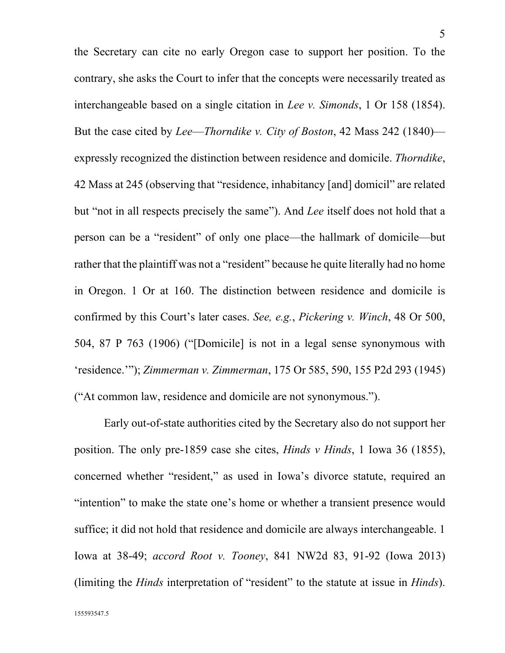<span id="page-9-4"></span><span id="page-9-1"></span>the Secretary can cite no early Oregon case to support her position. To the contrary, she asks the Court to infer that the concepts were necessarily treated as interchangeable based on a single citation in *Lee v. Simonds*, 1 Or 158 (1854). But the case cited by *Lee*—*Thorndike v. City of Boston*, 42 Mass 242 (1840) expressly recognized the distinction between residence and domicile. *Thorndike*, 42 Mass at 245 (observing that "residence, inhabitancy [and] domicil" are related but "not in all respects precisely the same"). And *Lee* itself does not hold that a person can be a "resident" of only one place—the hallmark of domicile—but rather that the plaintiff was not a "resident" because he quite literally had no home in Oregon. 1 Or at 160. The distinction between residence and domicile is confirmed by this Court's later cases. *See, e.g.*, *Pickering v. Winch*, 48 Or 500, 504, 87 P 763 (1906) ("[Domicile] is not in a legal sense synonymous with 'residence.'"); *Zimmerman v. Zimmerman*, 175 Or 585, 590, 155 P2d 293 (1945) ("At common law, residence and domicile are not synonymous.").

<span id="page-9-5"></span><span id="page-9-3"></span><span id="page-9-2"></span><span id="page-9-0"></span>Early out-of-state authorities cited by the Secretary also do not support her position. The only pre-1859 case she cites, *Hinds v Hinds*, 1 Iowa 36 (1855), concerned whether "resident," as used in Iowa's divorce statute, required an "intention" to make the state one's home or whether a transient presence would suffice; it did not hold that residence and domicile are always interchangeable. 1 Iowa at 38-49; *accord Root v. Tooney*, 841 NW2d 83, 91-92 (Iowa 2013) (limiting the *Hinds* interpretation of "resident" to the statute at issue in *Hinds*).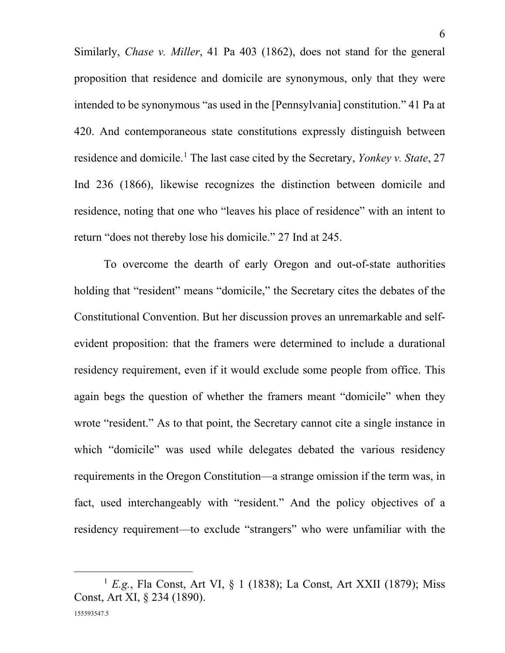<span id="page-10-1"></span><span id="page-10-0"></span>Similarly, *Chase v. Miller*, 41 Pa 403 (1862), does not stand for the general proposition that residence and domicile are synonymous, only that they were intended to be synonymous "as used in the [Pennsylvania] constitution." 41 Pa at 420. And contemporaneous state constitutions expressly distinguish between residence and domicile.[1](#page-10-3) The last case cited by the Secretary, *Yonkey v. State*, 27 Ind 236 (1866), likewise recognizes the distinction between domicile and residence, noting that one who "leaves his place of residence" with an intent to return "does not thereby lose his domicile." 27 Ind at 245.

To overcome the dearth of early Oregon and out-of-state authorities holding that "resident" means "domicile," the Secretary cites the debates of the Constitutional Convention. But her discussion proves an unremarkable and selfevident proposition: that the framers were determined to include a durational residency requirement, even if it would exclude some people from office. This again begs the question of whether the framers meant "domicile" when they wrote "resident." As to that point, the Secretary cannot cite a single instance in which "domicile" was used while delegates debated the various residency requirements in the Oregon Constitution—a strange omission if the term was, in fact, used interchangeably with "resident." And the policy objectives of a residency requirement—to exclude "strangers" who were unfamiliar with the

<span id="page-10-3"></span><span id="page-10-2"></span><sup>&</sup>lt;sup>1</sup> *E.g.*, Fla Const, Art VI, § 1 (1838); La Const, Art XXII (1879); Miss Const, Art XI, § 234 (1890).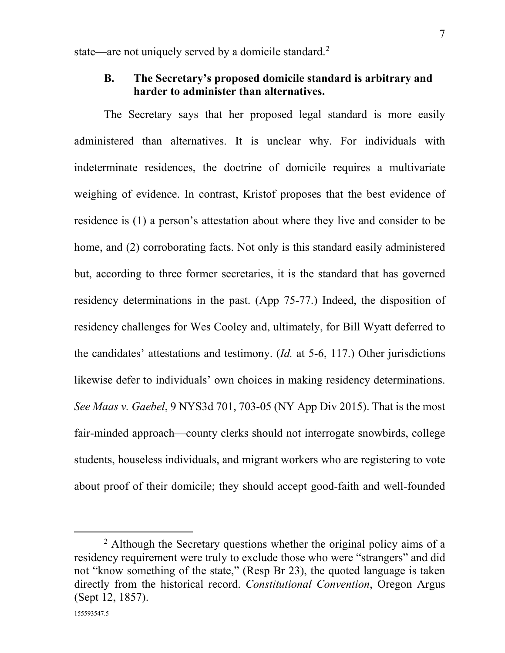<span id="page-11-0"></span>state—are not uniquely served by a domicile standard.<sup>[2](#page-11-2)</sup>

## **B. The Secretary's proposed domicile standard is arbitrary and harder to administer than alternatives.**

The Secretary says that her proposed legal standard is more easily administered than alternatives. It is unclear why. For individuals with indeterminate residences, the doctrine of domicile requires a multivariate weighing of evidence. In contrast, Kristof proposes that the best evidence of residence is (1) a person's attestation about where they live and consider to be home, and (2) corroborating facts. Not only is this standard easily administered but, according to three former secretaries, it is the standard that has governed residency determinations in the past. (App 75-77.) Indeed, the disposition of residency challenges for Wes Cooley and, ultimately, for Bill Wyatt deferred to the candidates' attestations and testimony. (*Id.* at 5-6, 117.) Other jurisdictions likewise defer to individuals' own choices in making residency determinations. *See Maas v. Gaebel*, 9 NYS3d 701, 703-05 (NY App Div 2015). That is the most fair-minded approach—county clerks should not interrogate snowbirds, college students, houseless individuals, and migrant workers who are registering to vote about proof of their domicile; they should accept good-faith and well-founded

<span id="page-11-2"></span><span id="page-11-1"></span><sup>&</sup>lt;sup>2</sup> Although the Secretary questions whether the original policy aims of a residency requirement were truly to exclude those who were "strangers" and did not "know something of the state," (Resp Br 23), the quoted language is taken directly from the historical record. *Constitutional Convention*, Oregon Argus (Sept 12, 1857).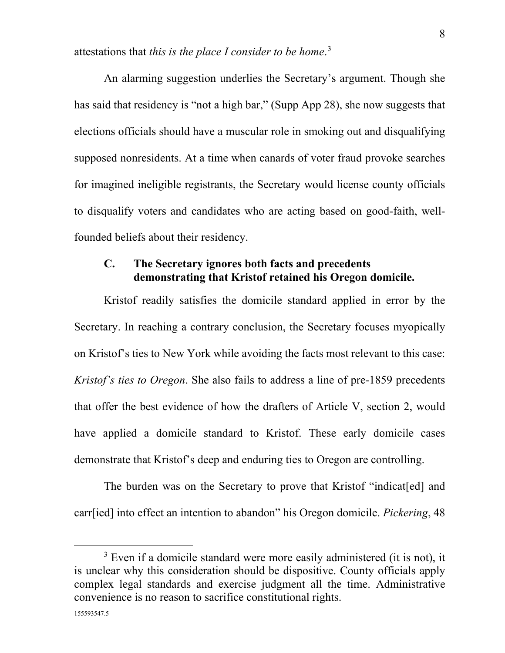attestations that *this is the place I consider to be home*. [3](#page-12-1)

An alarming suggestion underlies the Secretary's argument. Though she has said that residency is "not a high bar," (Supp App 28), she now suggests that elections officials should have a muscular role in smoking out and disqualifying supposed nonresidents. At a time when canards of voter fraud provoke searches for imagined ineligible registrants, the Secretary would license county officials to disqualify voters and candidates who are acting based on good-faith, wellfounded beliefs about their residency.

## <span id="page-12-0"></span>**C. The Secretary ignores both facts and precedents demonstrating that Kristof retained his Oregon domicile.**

Kristof readily satisfies the domicile standard applied in error by the Secretary. In reaching a contrary conclusion, the Secretary focuses myopically on Kristof's ties to New York while avoiding the facts most relevant to this case: *Kristof's ties to Oregon*. She also fails to address a line of pre-1859 precedents that offer the best evidence of how the drafters of Article V, section 2, would have applied a domicile standard to Kristof. These early domicile cases demonstrate that Kristof's deep and enduring ties to Oregon are controlling.

The burden was on the Secretary to prove that Kristof "indicat[ed] and carr[ied] into effect an intention to abandon" his Oregon domicile. *Pickering*, 48

<span id="page-12-1"></span> $3$  Even if a domicile standard were more easily administered (it is not), it is unclear why this consideration should be dispositive. County officials apply complex legal standards and exercise judgment all the time. Administrative convenience is no reason to sacrifice constitutional rights.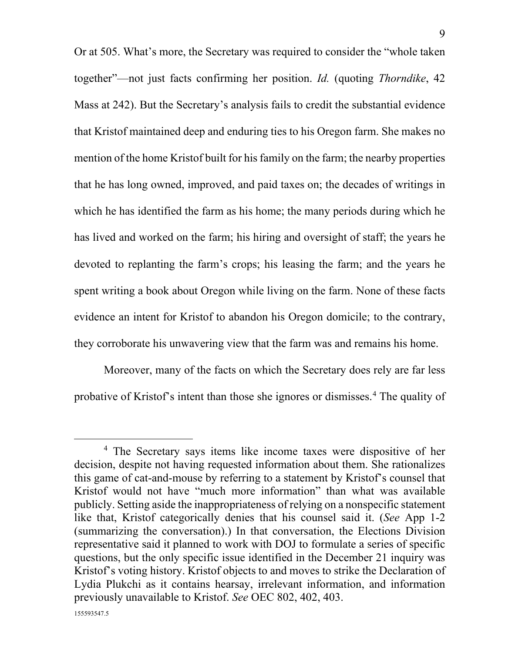Or at 505. What's more, the Secretary was required to consider the "whole taken together"—not just facts confirming her position. *Id.* (quoting *Thorndike*, 42 Mass at 242). But the Secretary's analysis fails to credit the substantial evidence that Kristof maintained deep and enduring ties to his Oregon farm. She makes no mention of the home Kristof built for his family on the farm; the nearby properties that he has long owned, improved, and paid taxes on; the decades of writings in which he has identified the farm as his home; the many periods during which he has lived and worked on the farm; his hiring and oversight of staff; the years he devoted to replanting the farm's crops; his leasing the farm; and the years he spent writing a book about Oregon while living on the farm. None of these facts evidence an intent for Kristof to abandon his Oregon domicile; to the contrary, they corroborate his unwavering view that the farm was and remains his home.

Moreover, many of the facts on which the Secretary does rely are far less probative of Kristof's intent than those she ignores or dismisses. [4](#page-13-1) The quality of

<span id="page-13-1"></span><span id="page-13-0"></span><sup>&</sup>lt;sup>4</sup> The Secretary says items like income taxes were dispositive of her decision, despite not having requested information about them. She rationalizes this game of cat-and-mouse by referring to a statement by Kristof's counsel that Kristof would not have "much more information" than what was available publicly. Setting aside the inappropriateness of relying on a nonspecific statement like that, Kristof categorically denies that his counsel said it. (*See* App 1-2 (summarizing the conversation).) In that conversation, the Elections Division representative said it planned to work with DOJ to formulate a series of specific questions, but the only specific issue identified in the December 21 inquiry was Kristof's voting history. Kristof objects to and moves to strike the Declaration of Lydia Plukchi as it contains hearsay, irrelevant information, and information previously unavailable to Kristof. *See* OEC 802, 402, 403.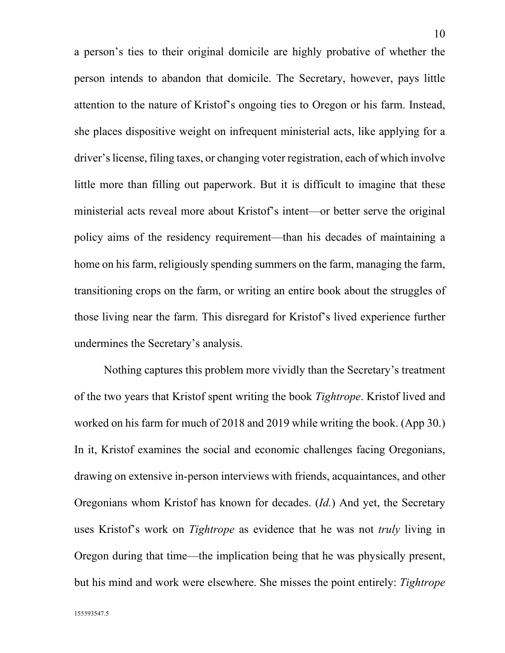a person's ties to their original domicile are highly probative of whether the person intends to abandon that domicile. The Secretary, however, pays little attention to the nature of Kristof's ongoing ties to Oregon or his farm. Instead, she places dispositive weight on infrequent ministerial acts, like applying for a driver's license, filing taxes, or changing voter registration, each of which involve little more than filling out paperwork. But it is difficult to imagine that these ministerial acts reveal more about Kristof's intent—or better serve the original policy aims of the residency requirement—than his decades of maintaining a home on his farm, religiously spending summers on the farm, managing the farm, transitioning crops on the farm, or writing an entire book about the struggles of those living near the farm. This disregard for Kristof's lived experience further undermines the Secretary's analysis.

Nothing captures this problem more vividly than the Secretary's treatment of the two years that Kristof spent writing the book *Tightrope*. Kristof lived and worked on his farm for much of 2018 and 2019 while writing the book. (App 30.) In it, Kristof examines the social and economic challenges facing Oregonians, drawing on extensive in-person interviews with friends, acquaintances, and other Oregonians whom Kristof has known for decades. (*Id.*) And yet, the Secretary uses Kristof's work on *Tightrope* as evidence that he was not *truly* living in Oregon during that time—the implication being that he was physically present, but his mind and work were elsewhere. She misses the point entirely: *Tightrope*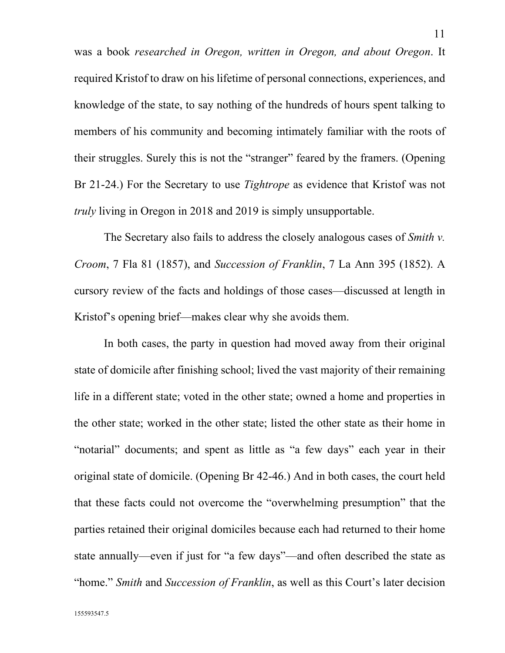was a book *researched in Oregon, written in Oregon, and about Oregon*. It required Kristof to draw on his lifetime of personal connections, experiences, and knowledge of the state, to say nothing of the hundreds of hours spent talking to members of his community and becoming intimately familiar with the roots of their struggles. Surely this is not the "stranger" feared by the framers. (Opening Br 21-24.) For the Secretary to use *Tightrope* as evidence that Kristof was not *truly* living in Oregon in 2018 and 2019 is simply unsupportable.

<span id="page-15-0"></span>The Secretary also fails to address the closely analogous cases of *Smith v. Croom*, 7 Fla 81 (1857), and *Succession of Franklin*, 7 La Ann 395 (1852). A cursory review of the facts and holdings of those cases—discussed at length in Kristof's opening brief—makes clear why she avoids them.

In both cases, the party in question had moved away from their original state of domicile after finishing school; lived the vast majority of their remaining life in a different state; voted in the other state; owned a home and properties in the other state; worked in the other state; listed the other state as their home in "notarial" documents; and spent as little as "a few days" each year in their original state of domicile. (Opening Br 42-46.) And in both cases, the court held that these facts could not overcome the "overwhelming presumption" that the parties retained their original domiciles because each had returned to their home state annually—even if just for "a few days"—and often described the state as "home." *Smith* and *Succession of Franklin*, as well as this Court's later decision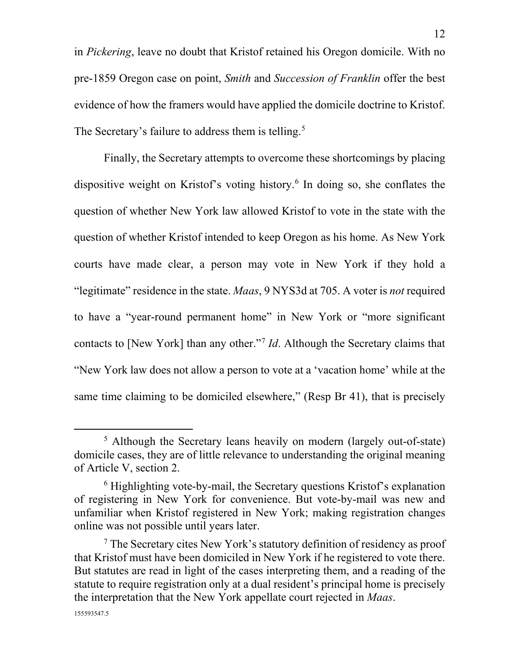<span id="page-16-1"></span>in *Pickering*, leave no doubt that Kristof retained his Oregon domicile. With no pre-1859 Oregon case on point, *Smith* and *Succession of Franklin* offer the best evidence of how the framers would have applied the domicile doctrine to Kristof. The Secretary's failure to address them is telling.<sup>[5](#page-16-2)</sup>

<span id="page-16-0"></span>Finally, the Secretary attempts to overcome these shortcomings by placing dispositive weight on Kristof's voting history. [6](#page-16-3) In doing so, she conflates the question of whether New York law allowed Kristof to vote in the state with the question of whether Kristof intended to keep Oregon as his home. As New York courts have made clear, a person may vote in New York if they hold a "legitimate" residence in the state. *Maas*, 9 NYS3d at 705. A voter is *not* required to have a "year-round permanent home" in New York or "more significant contacts to [New York] than any other."[7](#page-16-4) *Id*. Although the Secretary claims that "New York law does not allow a person to vote at a 'vacation home' while at the same time claiming to be domiciled elsewhere," (Resp Br 41), that is precisely

<span id="page-16-2"></span><sup>5</sup> Although the Secretary leans heavily on modern (largely out-of-state) domicile cases, they are of little relevance to understanding the original meaning of Article V, section 2.

<span id="page-16-3"></span><sup>&</sup>lt;sup>6</sup> Highlighting vote-by-mail, the Secretary questions Kristof's explanation of registering in New York for convenience. But vote-by-mail was new and unfamiliar when Kristof registered in New York; making registration changes online was not possible until years later.

<span id="page-16-4"></span> $7$  The Secretary cites New York's statutory definition of residency as proof that Kristof must have been domiciled in New York if he registered to vote there. But statutes are read in light of the cases interpreting them, and a reading of the statute to require registration only at a dual resident's principal home is precisely the interpretation that the New York appellate court rejected in *Maas*.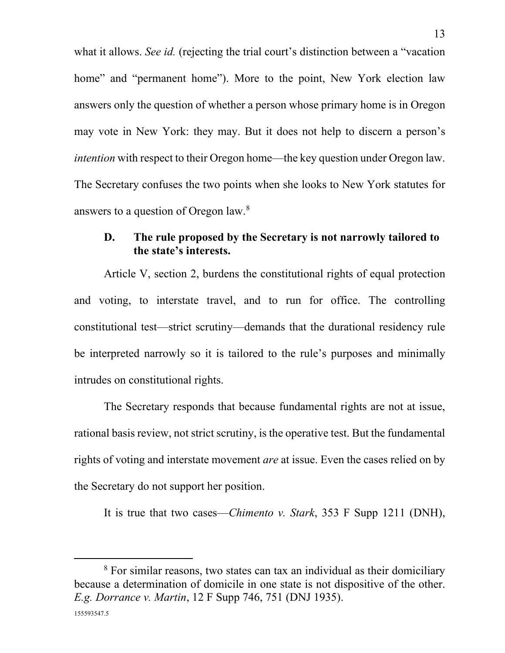<span id="page-17-3"></span>what it allows. *See id.* (rejecting the trial court's distinction between a "vacation" home" and "permanent home"). More to the point, New York election law answers only the question of whether a person whose primary home is in Oregon may vote in New York: they may. But it does not help to discern a person's *intention* with respect to their Oregon home—the key question under Oregon law. The Secretary confuses the two points when she looks to New York statutes for answers to a question of Oregon law.[8](#page-17-4)

## <span id="page-17-0"></span>**D. The rule proposed by the Secretary is not narrowly tailored to the state's interests.**

Article V, section 2, burdens the constitutional rights of equal protection and voting, to interstate travel, and to run for office. The controlling constitutional test—strict scrutiny—demands that the durational residency rule be interpreted narrowly so it is tailored to the rule's purposes and minimally intrudes on constitutional rights.

The Secretary responds that because fundamental rights are not at issue, rational basis review, not strict scrutiny, is the operative test. But the fundamental rights of voting and interstate movement *are* at issue. Even the cases relied on by the Secretary do not support her position.

<span id="page-17-1"></span>It is true that two cases—*Chimento v. Stark*, 353 F Supp 1211 (DNH),

<span id="page-17-4"></span><span id="page-17-2"></span><sup>&</sup>lt;sup>8</sup> For similar reasons, two states can tax an individual as their domiciliary because a determination of domicile in one state is not dispositive of the other. *E.g. Dorrance v. Martin*, 12 F Supp 746, 751 (DNJ 1935).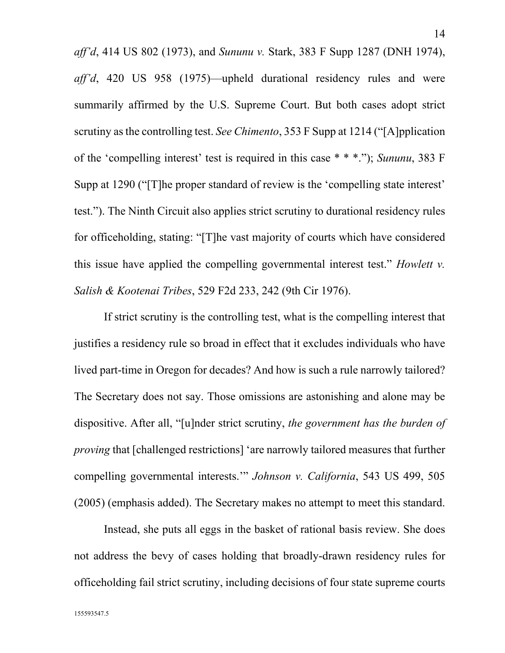<span id="page-18-0"></span>*aff'd*, 414 US 802 (1973), and *Sununu v.* Stark, 383 F Supp 1287 (DNH 1974), *aff'd*, 420 US 958 (1975)—upheld durational residency rules and were summarily affirmed by the U.S. Supreme Court. But both cases adopt strict scrutiny as the controlling test. *See Chimento*, 353 F Supp at 1214 ("[A]pplication of the 'compelling interest' test is required in this case \* \* \*."); *Sununu*, 383 F Supp at 1290 ("[T]he proper standard of review is the 'compelling state interest' test."). The Ninth Circuit also applies strict scrutiny to durational residency rules for officeholding, stating: "[T]he vast majority of courts which have considered this issue have applied the compelling governmental interest test." *Howlett v. Salish & Kootenai Tribes*, 529 F2d 233, 242 (9th Cir 1976).

<span id="page-18-1"></span>If strict scrutiny is the controlling test, what is the compelling interest that justifies a residency rule so broad in effect that it excludes individuals who have lived part-time in Oregon for decades? And how is such a rule narrowly tailored? The Secretary does not say. Those omissions are astonishing and alone may be dispositive. After all, "[u]nder strict scrutiny, *the government has the burden of proving* that [challenged restrictions] 'are narrowly tailored measures that further compelling governmental interests.'" *Johnson v. California*, 543 US 499, 505 (2005) (emphasis added). The Secretary makes no attempt to meet this standard.

<span id="page-18-2"></span>Instead, she puts all eggs in the basket of rational basis review. She does not address the bevy of cases holding that broadly-drawn residency rules for officeholding fail strict scrutiny, including decisions of four state supreme courts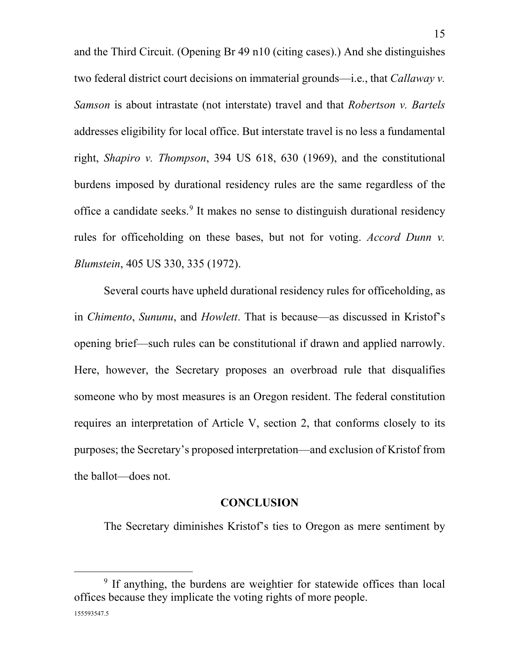<span id="page-19-4"></span>and the Third Circuit. (Opening Br 49 n10 (citing cases).) And she distinguishes two federal district court decisions on immaterial grounds—i.e., that *Callaway v. Samson* is about intrastate (not interstate) travel and that *Robertson v. Bartels* addresses eligibility for local office. But interstate travel is no less a fundamental right, *Shapiro v. Thompson*, 394 US 618, 630 (1969), and the constitutional burdens imposed by durational residency rules are the same regardless of the office a candidate seeks. [9](#page-19-5) It makes no sense to distinguish durational residency rules for officeholding on these bases, but not for voting. *Accord Dunn v. Blumstein*, 405 US 330, 335 (1972).

<span id="page-19-3"></span><span id="page-19-1"></span>Several courts have upheld durational residency rules for officeholding, as in *Chimento*, *Sununu*, and *Howlett*. That is because—as discussed in Kristof's opening brief—such rules can be constitutional if drawn and applied narrowly. Here, however, the Secretary proposes an overbroad rule that disqualifies someone who by most measures is an Oregon resident. The federal constitution requires an interpretation of Article V, section 2, that conforms closely to its purposes; the Secretary's proposed interpretation—and exclusion of Kristof from the ballot—does not.

### <span id="page-19-2"></span>**CONCLUSION**

<span id="page-19-0"></span>The Secretary diminishes Kristof's ties to Oregon as mere sentiment by

<span id="page-19-5"></span><sup>&</sup>lt;sup>9</sup> If anything, the burdens are weightier for statewide offices than local offices because they implicate the voting rights of more people.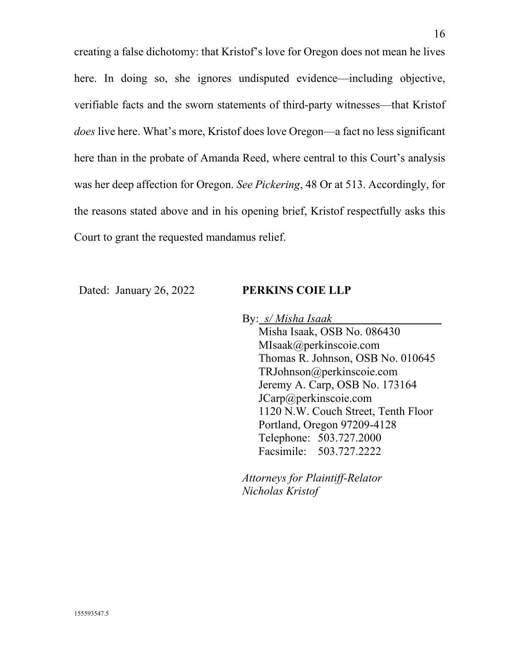creating a false dichotomy: that Kristof's love for Oregon does not mean he lives here. In doing so, she ignores undisputed evidence—including objective, verifiable facts and the sworn statements of third-party witnesses—that Kristof *does* live here. What's more, Kristof does love Oregon—a fact no less significant here than in the probate of Amanda Reed, where central to this Court's analysis was her deep affection for Oregon. *See Pickering*, 48 Or at 513. Accordingly, for the reasons stated above and in his opening brief, Kristof respectfully asks this Court to grant the requested mandamus relief.

Dated: January 26, 2022 **PERKINS COIE LLP** 

By: *s/ Misha Isaak*

Misha Isaak, OSB No. 086430 MIsaak@perkinscoie.com Thomas R. Johnson, OSB No. 010645 TRJohnson@perkinscoie.com Jeremy A. Carp, OSB No. 173164 JCarp@perkinscoie.com 1120 N.W. Couch Street, Tenth Floor Portland, Oregon 97209-4128 Telephone: 503.727.2000 Facsimile: 503.727.2222

*Attorneys for Plaintiff-Relator Nicholas Kristof*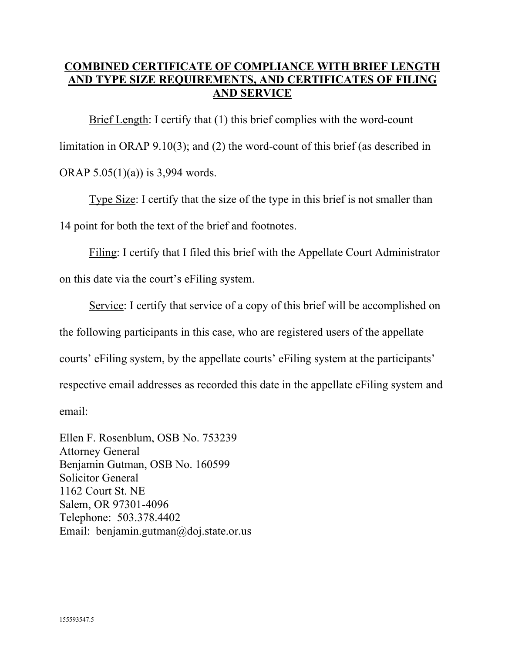## **COMBINED CERTIFICATE OF COMPLIANCE WITH BRIEF LENGTH AND TYPE SIZE REQUIREMENTS, AND CERTIFICATES OF FILING AND SERVICE**

Brief Length: I certify that (1) this brief complies with the word-count limitation in ORAP 9.10(3); and (2) the word-count of this brief (as described in ORAP 5.05(1)(a)) is 3,994 words.

Type Size: I certify that the size of the type in this brief is not smaller than 14 point for both the text of the brief and footnotes.

Filing: I certify that I filed this brief with the Appellate Court Administrator on this date via the court's eFiling system.

Service: I certify that service of a copy of this brief will be accomplished on the following participants in this case, who are registered users of the appellate courts' eFiling system, by the appellate courts' eFiling system at the participants' respective email addresses as recorded this date in the appellate eFiling system and email:

Ellen F. Rosenblum, OSB No. 753239 Attorney General Benjamin Gutman, OSB No. 160599 Solicitor General 1162 Court St. NE Salem, OR 97301-4096 Telephone: 503.378.4402 Email: benjamin.gutman@doj.state.or.us